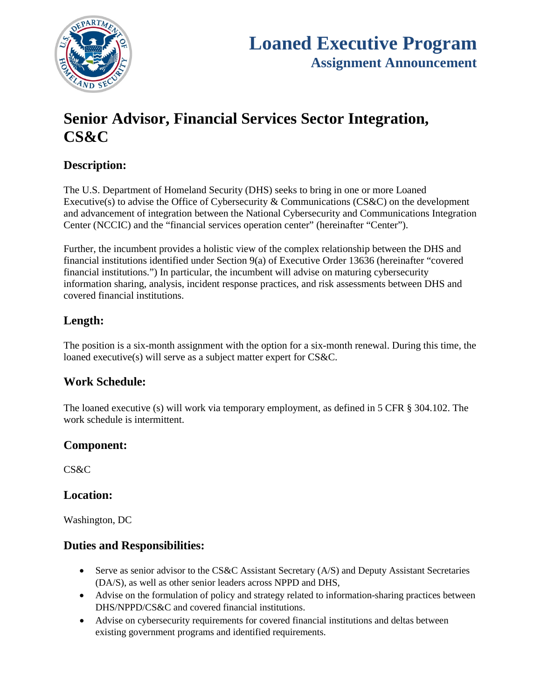

# **Senior Advisor, Financial Services Sector Integration, CS&C**

# **Description:**

The U.S. Department of Homeland Security (DHS) seeks to bring in one or more Loaned Executive(s) to advise the Office of Cybersecurity & Communications (CS&C) on the development and advancement of integration between the National Cybersecurity and Communications Integration Center (NCCIC) and the "financial services operation center" (hereinafter "Center").

Further, the incumbent provides a holistic view of the complex relationship between the DHS and financial institutions identified under Section 9(a) of Executive Order 13636 (hereinafter "covered financial institutions.") In particular, the incumbent will advise on maturing cybersecurity information sharing, analysis, incident response practices, and risk assessments between DHS and covered financial institutions.

# **Length:**

The position is a six-month assignment with the option for a six-month renewal. During this time, the loaned executive(s) will serve as a subject matter expert for CS&C.

#### **Work Schedule:**

The loaned executive (s) will work via temporary employment, as defined in 5 CFR § 304.102. The work schedule is intermittent.

## **Component:**

CS&C

#### **Location:**

Washington, DC

#### **Duties and Responsibilities:**

- Serve as senior advisor to the CS&C Assistant Secretary (A/S) and Deputy Assistant Secretaries (DA/S), as well as other senior leaders across NPPD and DHS,
- Advise on the formulation of policy and strategy related to information-sharing practices between DHS/NPPD/CS&C and covered financial institutions.
- Advise on cybersecurity requirements for covered financial institutions and deltas between existing government programs and identified requirements.